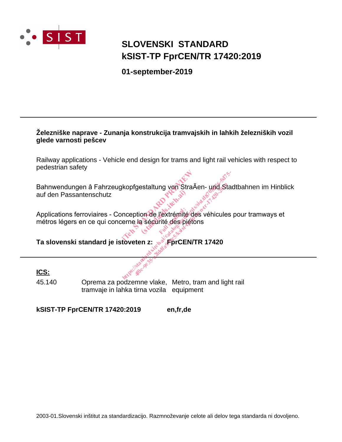

# **SLOVENSKI STANDARD kSIST-TP FprCEN/TR 17420:2019**

**01-september-2019**

## **Železniške naprave - Zunanja konstrukcija tramvajskih in lahkih železniških vozil glede varnosti pešcev**

Railway applicatio[ns - Vehicle end design for trams and light rail vehicles](�����/��u�ejMR� �_+k��j�%si��d񠼰��L��C��58յ9��~�\���3m@��
�x�˓^8�Q�~y��H�̧)
��1ա�ă�,#�b9��) with respect to pedestrian safety

Bahnwendungen â Fahrzeugkopfgestaltung von StraÃen- und Stadtbahnen im Hinblick auf den Passantenschutz

Applications ferroviaires - Conception de l'extrémité des véhicules pour tramways et métros légers en ce qui concerne la sécurité des piétons

**Ta slovenski standard je istoveten z: FprCEN/TR 17420**

**ICS:**

45.140 Oprema za podzemne vlake, Metro, tram and light rail tramvaje in lahka tirna vozila equipment

**kSIST-TP FprCEN/TR 17420:2019 en,fr,de**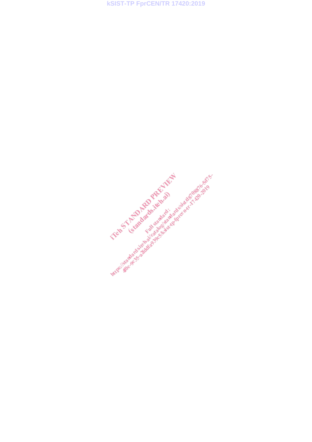## kSIST-TP FprCEN/TR 17420:2019

International control of the property of the second control of the second control of the second control of the second control of the second control of the second control of the second control of the second control of the s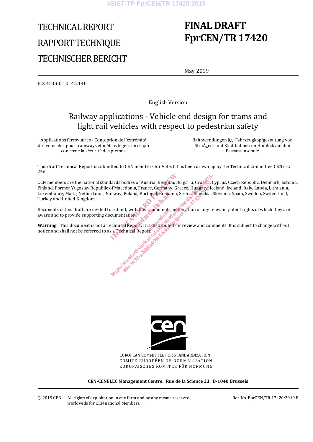# TECHNICAL REPORT RAPPORT TECHNIQUE TECHNISCHER BERICHT

# **FINAL DRAFT FprCEN/TR 17420**

May 2019

ICS 45.060.10; 45.140

English Version

## Railway applications - Vehicle end design for trams and light rail vehicles with respect to pedestrian safety

Applications ferroviaires - Conception de l'extrémité des véhicules pour tramways et métros légers en ce qui concerne la sécurité des piétons

 Bahnwendungen â¿¿ Fahrzeugkopfgestaltung von Stra $\tilde{A}_\textit{L}$ en- und Stadtbahnen im Hinblick auf den Passantenschutz

This draft Technical R[eport is submitted to CEN members for Vote. It has been drawn up by the T](�˅��ܛ��>˾��ۛ0����4|����v?6uG���Ҍ�$	@4��~���)w�Yc�/�Q>0A&�`���}�[�uL�>;M�؊�/33�Ů���4Z*�/u��9}��)echnical Committee CEN/TC 256.

CEN members are the national standards bodies of Austria, Belgium, Bulgaria, Croatia, Cyprus, Czech Republic, Denmark, Estonia, Finland, Former Yugoslav Republic of Macedonia, France, Germany, Greece, Hungary, Iceland, Ireland, Italy, Latvia, Lithuania, Luxembourg, Malta, Netherlands, Norway, Poland, Portugal, Romania, Serbia, Slovakia, Slovenia, Spain, Sweden, Switzerland, Turkey and United Kingdom.

Recipients of this draft are invited to submit, with their comments, notification of any relevant patent rights of which they are

aware and to provide supporting documentation.<br> **Warning**: This document is not a Technical Report. It is distributed and shall not be referred to as a Technical Report. **Warning** : This document is not a Technical Report. It is distributed for review and comments. It is subject to change without notice and shall not be referred to as a Technical Report.



EUROPEAN COMMITTEE FOR STANDARDIZATION COMITÉ EUROPÉEN DE NORMALISATION EUROPÄISCHES KOMITEE FÜR NORMUNG

**CEN-CENELEC Management Centre: Rue de la Science 23, B-1040 Brussels** 

Ref. No. FprCEN/TR 17420:2019 E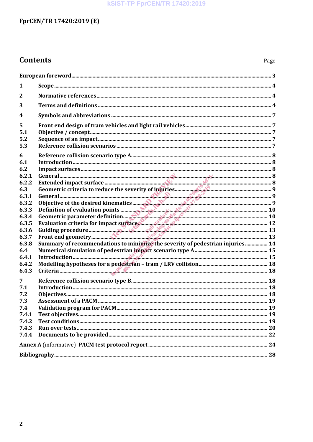## **kSIST-TP FprCEN/TR 17420:2019**

## FprCEN/TR 17420:2019 (E)

## **Contents**

| 1              |                                                                               |  |  |
|----------------|-------------------------------------------------------------------------------|--|--|
| 2              |                                                                               |  |  |
| 3              |                                                                               |  |  |
| 4              |                                                                               |  |  |
| 5              |                                                                               |  |  |
| 5.1            |                                                                               |  |  |
| 5.2            |                                                                               |  |  |
| 5.3            |                                                                               |  |  |
| 6              |                                                                               |  |  |
| 6.1            |                                                                               |  |  |
| 6.2            |                                                                               |  |  |
| 6.2.1          |                                                                               |  |  |
| 6,2.2          |                                                                               |  |  |
| 6.3            |                                                                               |  |  |
| 6.3.1          | General 2 9                                                                   |  |  |
| 6.3.2          |                                                                               |  |  |
| 6.3.3          |                                                                               |  |  |
| 6.3.4          |                                                                               |  |  |
| 6.3.5          |                                                                               |  |  |
| 6.3.6          |                                                                               |  |  |
| 6.3.7          | Summary of recommendations to minimize the severity of pedestrian injuries 14 |  |  |
| 6.3.8<br>6.4   |                                                                               |  |  |
| 6.4.1          |                                                                               |  |  |
| 6.4.2          |                                                                               |  |  |
| 6.4.3          |                                                                               |  |  |
| $\overline{7}$ |                                                                               |  |  |
| 7.1            |                                                                               |  |  |
| 7.2            |                                                                               |  |  |
| 7.3            |                                                                               |  |  |
| 7.4            |                                                                               |  |  |
| 7.4.1          |                                                                               |  |  |
| 7.4.2          |                                                                               |  |  |
| 7.4.3          |                                                                               |  |  |
| 7.4.4          |                                                                               |  |  |
|                |                                                                               |  |  |
|                |                                                                               |  |  |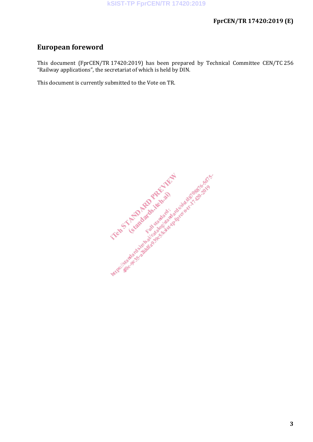## **European foreword**

This document (FprCEN/TR 17420:2019) has been prepared by Technical Committee CEN/TC 256 "Railway applications", the secretariat of which is held by DIN.

This document is currently submitted to the Vote on TR.

MITE HARDWAY STATE AND A PROCEED FOR A PAINT OF A PARTICULAR STATE OF A PAINT OF A PAINT OF A PAINT OF A PAINT OF A PAINT OF A PAINT OF A PAINT OF A PAINT OF A PAINT OF A PAINT OF A PAINT OF A PAINT OF A PAINT OF A PAINT O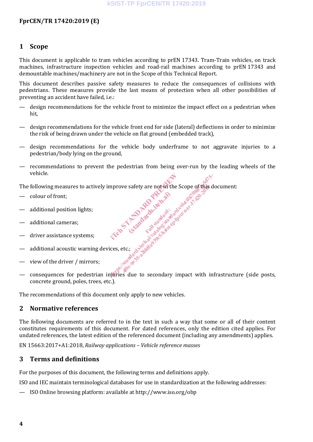## **1 Scope**

This document is applicable to tram vehicles according to prEN 17343. Tram-Train vehicles, on track machines, infrastructure inspection vehicles and road-rail machines according to prEN 17343 and demountable machines/machinery are not in the Scope of this Technical Report.

This document describes passive safety measures to reduce the consequences of collisions with pedestrians. These measures provide the last means of protection when all other possibilities of preventing an accident have failed, i.e.:

- design recommendations for the vehicle front to minimize the impact effect on a pedestrian when hit,
- design recommendations for the vehicle front end for side (lateral) deflections in order to minimize the risk of being drawn under the vehicle on flat ground (embedded track),
- design recommendations for the vehicle body underframe to not aggravate injuries to a pedestrian/body lying on the ground,
- recommendations t[o prevent the pedestrian from being over-run by the leadi](;U�(v�%z�{���`�I����Ff��IG��oIh�=D���e,�,Y�Ѵ��^,��%��fزDp&I`��!�c�A3�E�y7���h�Sw��3�<�Q�KÍ�1�3K�9Dc)ng wheels of the vehicle.

RD - Ierb - Indian

**PAY ASTRONOMIST PROPERTY** 

The following measures to actively improve safety are not in the Scope of this document:<br>
— colour of front;<br>
— additional position lights;<br>
— additional cameras;<br>
— driver assist:

- colour of front;
- additional position lights;
- additional cameras;
- driver assistance systems;
- additional acoustic warning devices, etc.; as shelled
- view of the driver / mirrors;
- consequences for pedestrian injuries due to secondary impact with infrastructure (side posts, concrete ground, poles, trees, etc.).

The recommendations of this document only apply to new vehicles.

#### **2 Normative references**

The following documents are referred to in the text in such a way that some or all of their content constitutes requirements of this document. For dated references, only the edition cited applies. For undated references, the latest edition of the referenced document (including any amendments) applies.

EN 15663:2017+A1:2018, *Railway applications – Vehicle reference masses*

#### **3 Terms and definitions**

For the purposes of this document, the following terms and definitions apply.

ISO and IEC maintain terminological databases for use in standardization at the following addresses:

— ISO Online browsing platform: available at http://www.iso.org/obp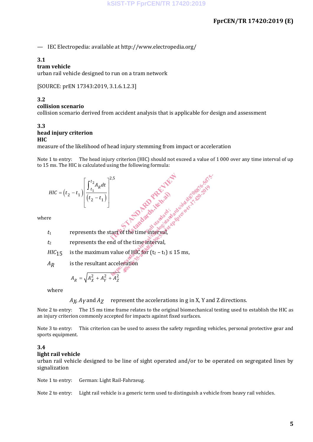— IEC Electropedia: available at http://www.electropedia.org/

#### **3.1**

## **tram vehicle**

urban rail vehicle designed to run on a tram network

[SOURCE: prEN 17343:2019, 3.1.6.1.2.3]

#### **3.2**

#### **collision scenario**

collision scenario derived from accident analysis that is applicable for design and assessment

#### **3.3 head injury criterion HIC**

measure of the lik[���ق�'>elihood of head injury stemming from impact or acceleration](��Ѓ�ܸ�T+�(2k��:+wq�ll�ukN[�R^P�G=��=B���nwP���{)�܂�����x͓,%�����Bqf��v%m	lӑ���o5�J�j)

Note 1 to entry: The head injury criterion (HIC) should not exceed a value of 1 000 over any time interval of up to 15 ms. The HIC is calculated using the following formula:

$$
HIC = (t_2 - t_1) \left[ \frac{\int_{t_1}^{t_2} A_R dt}{(t_2 - t_1)} \right]^{2,5}
$$

where

| . |                                            |
|---|--------------------------------------------|
|   | represents the start of the time interval, |

$$
t_2
$$
 represents the end of the time interval,

*HIC*<sub>15</sub> is the maximum value of HIC for  $(t_2 - t_1) \le 15$  ms,

*AR* is the resultant acceleration

$$
A_R = \sqrt{A_X^2 + A_Y^2 + A_Z^2}
$$

where

*AX*, *AY* and *AZ* represent the accelerations in g in X, Y and Z directions.

Note 2 to entry: The 15 ms time frame relates to the original biomechanical testing used to establish the HIC as an injury criterion commonly accepted for impacts against fixed surfaces.

Note 3 to entry: This criterion can be used to assess the safety regarding vehicles, personal protective gear and sports equipment.

#### **3.4**

#### **light rail vehicle**

urban rail vehicle designed to be line of sight operated and/or to be operated on segregated lines by signalization

Note 1 to entry: German: Light Rail-Fahrzeug.

Note 2 to entry: Light rail vehicle is a generic term used to distinguish a vehicle from heavy rail vehicles.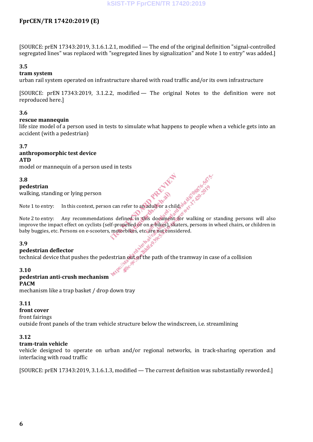[SOURCE: prEN 17343:2019, 3.1.6.1.2.1, modified — The end of the original definition "signal-controlled segregated lines" was replaced with "segregated lines by signalization" and Note 1 to entry" was added.]

#### **3.5**

#### **tram system**

urban rail system operated on infrastructure shared with road traffic and/or its own infrastructure

[SOURCE: prEN 17343:2019, 3.1.2.2, modified — The original Notes to the definition were not reproduced here.]

#### **3.6**

#### **rescue mannequin**

life size model of a person used in tests to simulate what happens to people when a vehicle gets into an accident (with a pedestrian)

#### **3.7**

#### **anthropomorphic test device**

#### **ATD**

model or mannequin of a person used in tests

#### **3.8**

#### **pedestrian**

walking, standing or lying person

Note 1 to entry: In this context, person can refer to an adult or a child.

Note 2 to entry: Any recommendations defined in this document for walking or standing persons will also improve the impact effect on cyclists (self-propelled or on e-bikes), skaters, persons in wheel chairs, or children in baby buggies, etc. Persons on e-scooters, motorbikes, etc. are not considered.

#### **3.9**

#### **pedestrian deflector**

technical device that pus[hes the pedestrian out of the path of the tramway in case of a](���Re=�U�뷣s9���u�����`+:L��&�ik]up�8R��V����I$�&�l��1x�j-�\S��YB�%����Vn|��#^�s*�f	��	�Z+����w�E%��q��) collision

#### **3.10**

#### **pedestrian anti-crush mechanism**

#### **PACM**

mechanism like a trap basket / drop down tray

#### **3.11**

#### **front cover**

front fairings

outside front panels of the tram vehicle structure below the windscreen, i.e. streamlining

#### **3.12**

#### **tram-train vehicle**

vehicle designed to operate on urban and/or regional networks, in track-sharing operation and interfacing with road traffic

[SOURCE: prEN 17343:2019, 3.1.6.1.3, modified — The current definition was substantially reworded.]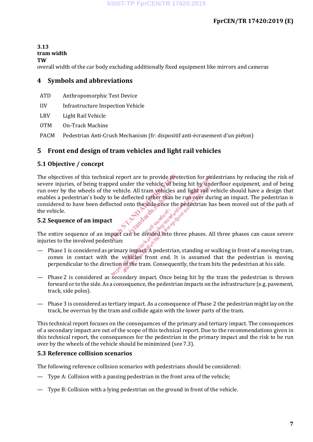#### **3.13 tram width TW**

overall width of the car body excluding additionally fixed equipment like mirrors and cameras

## **4 Symbols and abbreviations**

- ATD Anthropomorphic Test Device
- IIV Infrastructure Inspection Vehicle
- LRV Light Rail Vehicle
- OTM On-Track Machine
- PACM Pedestrian Anti-Crush Mechanism (fr: dispositif anti-écrasement d'un piéton)

## **5 Front end [design of tram vehicles and light rail vehicles](I`�)�ѓ A��!p�"�F�l�L��zɳ�b� �-����,�<)C(��>�΍ba���wH��H�����c
����2���YA~Η1)8�K���h�
<̆���q�h�(()**

## **5.1 Objective / concept**

The objectives of this technical report are to provide protection for pedestrians by reducing the risk of severe injuries, of being trapped under the vehicle, of being hit by underfloor equipment, and of being run over by the wheels of the vehicle. All tram vehicles and light rail vehicle should have a design that enables a pedestrian's body to be deflected rather than be run over during an impact. The pedestrian is considered to have been deflected onto the side once the pedestrian has been moved out of the path of the vehicle.

## **5.2 Sequence of an impact**

The entire sequence of an impact can be divided into three phases. All three phases can cause severe injuries to the involved pedestrian:

- Phase 1 is considered as primary impact. A pedestrian, standing or walking in front of a moving tram, comes in contact with the vehicles front end. It is assumed that the pedestrian is moving perpendicular to the direction of the tram. Consequently, the tram hits the pedestrian at his side.
- Phase 2 is considered as secondary impact. Once being hit by the tram the pedestrian is thrown forward or to the side. As a consequence, the pedestrian impacts on the infrastructure (e.g. pavement, track, side poles).
- Phase 3 is considered as tertiary impact. As a consequence of Phase 2 the pedestrian might lay on the track, be overrun by the tram and collide again with the lower parts of the tram.

This technical report focuses on the consequences of the primary and tertiary impact. The consequences of a secondary impact are out of the scope of this technical report. Due to the recommendations given in this technical report, the consequences for the pedestrian in the primary impact and the risk to be run over by the wheels of the vehicle should be minimized (see 7.3).

#### **5.3 Reference collision scenarios**

The following reference collision scenarios with pedestrians should be considered:

- Type A: Collision with a passing pedestrian in the front area of the vehicle;
- Type B: Collision with a lying pedestrian on the ground in front of the vehicle.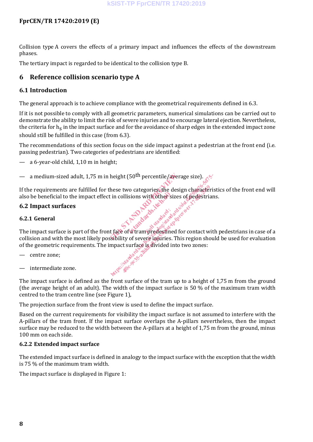**kSIST-TP FprCEN/TR 17420:2019**

## **FprCEN/TR 17420:2019 (E)**

Collision type A covers the effects of a primary impact and influences the effects of the downstream phases.

The tertiary impact is regarded to be identical to the collision type B.

## **6 Reference collision scenario type A**

## **6.1 Introduction**

The general approach is to achieve compliance with the geometrical requirements defined in 6.3.

If it is not possible to comply with all geometric parameters, numerical simulations can be carried out to demonstrate the ability to limit the risk of severe injuries and to encourage lateral ejection. Nevertheless, the criteria for  $h_s$  in the impact surface and for the avoidance of sharp edges in the extended impact zone should still be fulfilled in this case (from 6.3).

The recommendations of this section focus on the side impact against a pedestrian at the front end (i.e. passing pedestrian). Two categories of pedestrians are identified:

- a 6-year-old child, 1,10 m in height;
- a medium-sized adult, 1,75 m in height (50<sup>th</sup> percentile/average size).

If the requirements are f[ulfilled for these two categories, the design characteristics of](��g`=E�gAB��}��� �L"�)jb���}��íÐ�[X���3���g�ɋIe�RK�Rw���,�~V���d;����]�wXW�ų���ԕc�	�) the front end will also be beneficial to the impact effect in collisions with other sizes of pedestrians.<br>6.2 Impact surfaces<br>6.2.1 General

## **6.2 Impact surfaces**

### **6.2.1 General**

The impact surface is part of the front face of a tram predestined for contact with pedestrians in case of a collision and with the most likely possibility of severe injuries. This region should be used for evaluation of the geometric requirements. The impact surface is divided into two zones:<br>
— centre zone;<br>
— intermediate zone.

- centre zone;
- intermediate zone.

The impact surface is defined as the front surface of the tram up to a height of 1,75 m from the ground (the average height of an adult). The width of the impact surface is 50 % of the maximum tram width centred to the tram centre line (see Figure 1),

The projection surface from the front view is used to define the impact surface.

Based on the current requirements for visibility the impact surface is not assumed to interfere with the A-pillars of the tram front. If the impact surface overlaps the A-pillars nevertheless, then the impact surface may be reduced to the width between the A-pillars at a height of 1,75 m from the ground, minus 100 mm on each side.

#### **6.2.2 Extended impact surface**

The extended impact surface is defined in analogy to the impact surface with the exception that the width is 75 % of the maximum tram width.

The impact surface is displayed in Figure 1: